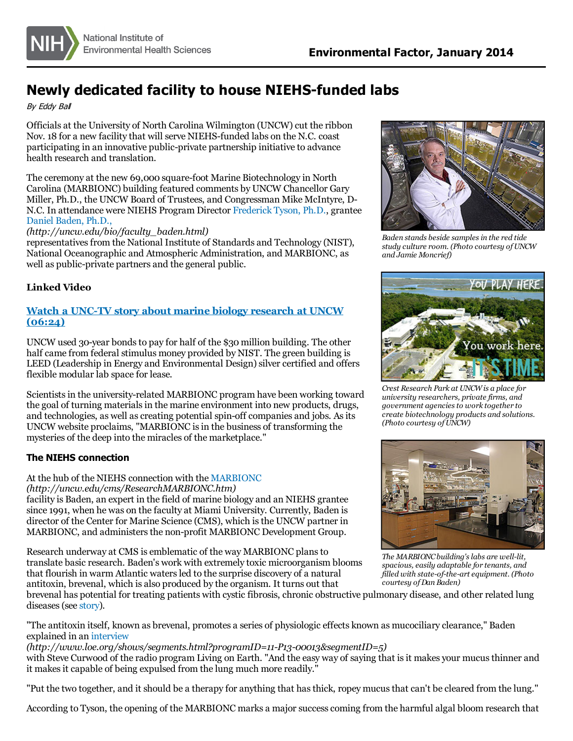# **Newly dedicated facility to house NIEHS-funded labs**

#### By Eddy Bal

Officials at the University of North Carolina Wilmington (UNCW)cut the ribbon Nov. 18 for a new facility that will serve NIEHS-funded labs on the N.C. coast participating in an innovative public-private partnership initiative to advance health research and translation.

The ceremony at the new 69,000 square-foot Marine Biotechnology in North Carolina (MARBIONC) building featured comments by UNCW Chancellor Gary Miller, Ph.D., the UNCW Board of Trustees, and Congressman Mike McIntyre, D-N.C. In attendance were NIEHS Program Director [Frederick](http://www.niehs.nih.gov/research/supported/dert/programs/oceans/index.cfm) Tyson, Ph.D., grantee Daniel [Baden,](http://uncw.edu/bio/faculty_baden.html) Ph.D.,

#### *(http://uncw.edu/bio/faculty\_baden.html)*

representatives from the National Institute of Standards and Technology (NIST), National Oceanographic and Atmospheric Administration, and MARBIONC, as well as public-private partners and the general public.

### **Linked Video**

# **Watch a UNC-TV story about marine biology [research](https://www.youtube.com/watch?v=a5c_78Q-x6Q) at UNCW (06:24)**

UNCW used 30-year bondsto pay for half of the \$30 million building. The other half came from federal stimulus money provided by NIST. The green building is LEED (Leadership in Energy and Environmental Design) silver certified and offers flexible modular lab space for lease.

Scientistsin the university-related MARBIONC program have been working toward the goal of turning materialsin the marine environment into new products, drugs, and technologies, as well as creating potential spin-off companies and jobs. As its UNCW website proclaims, "MARBIONC is in the business of transforming the mysteries of the deep into the miracles of the marketplace."

# **The NIEHS connection**

# At the hub of the NIEHS connection with the [MARBIONC](http://uncw.edu/cms/ResearchMARBIONC.htm)

*(http://uncw.edu/cms/ResearchMARBIONC.htm)*

facility is Baden, an expert in the field of marine biology and an NIEHS grantee since 1991, when he was on the faculty at Miami University. Currently, Baden is director of the Center for Marine Science (CMS), which isthe UNCW partner in MARBIONC, and administers the non-profit MARBIONC Development Group.

Research underway at CMS is emblematic of the way MARBIONC plansto translate basic research. Baden's work with extremely toxic microorganism blooms that flourish in warm Atlantic watersled to the surprise discovery of a natural antitoxin, brevenal, which is also produced by the organism. It turns out that



"The antitoxin itself, known as brevenal, promotes a series of physiologic effects known as mucociliary clearance," Baden explained in an [interview](http://www.loe.org/shows/segments.html?programID=11-P13-00013&segmentID=5)

*(http://www.loe.org/shows/segments.html?programID=11-P13-00013&segmentID=5)*

with Steve Curwood of the radio program Living on Earth. "And the easy way of saying that is it makes your mucus thinner and it makes it capable of being expulsed from the lung much more readily."

"Put the two together, and it should be a therapy for anything that has thick, ropey mucus that can't be cleared from the lung."

According to Tyson, the opening of the MARBIONC marks a major successcoming from the harmful algal bloom research that



*Baden stands beside samplesin the red tide study culture room. (Photo courtesy ofUNCW and Jamie Moncrief)*



*Crest Research Park at UNCW is a place for university researchers, private firms, and government agenciesto work together to create biotechnology products and solutions. (Photo courtesy ofUNCW)*



*The MARBIONCbuilding'slabs are well-lit, spacious, easily adaptable for tenants, and filled with state-of-the-art equipment. (Photo courtesy ofDan Baden)*